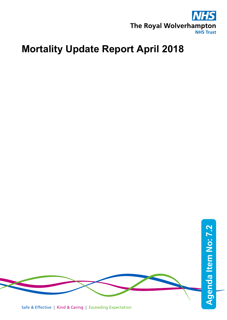

# **Mortality Update Report April 2018**

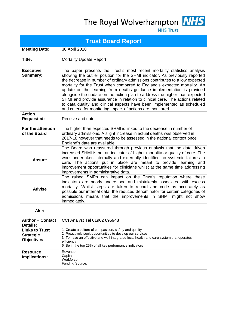The Royal Wolverhampton MHS



**NHS Trust** 

| <b>Trust Board Report</b>                                      |                                                                                                                                                                                                                                                                                                                                                                                                                                                                                                                                                                                                                                                                                                         |  |  |  |  |  |  |
|----------------------------------------------------------------|---------------------------------------------------------------------------------------------------------------------------------------------------------------------------------------------------------------------------------------------------------------------------------------------------------------------------------------------------------------------------------------------------------------------------------------------------------------------------------------------------------------------------------------------------------------------------------------------------------------------------------------------------------------------------------------------------------|--|--|--|--|--|--|
| <b>Meeting Date:</b>                                           | 30 April 2018                                                                                                                                                                                                                                                                                                                                                                                                                                                                                                                                                                                                                                                                                           |  |  |  |  |  |  |
| Title:                                                         | <b>Mortality Update Report</b>                                                                                                                                                                                                                                                                                                                                                                                                                                                                                                                                                                                                                                                                          |  |  |  |  |  |  |
| <b>Executive</b><br><b>Summary:</b>                            | The paper presents the Trust's most recent mortality statistics analysis<br>showing the outlier position for the SHMI indicator. As previously reported<br>the decrease in number of ordinary admissions contributes to a low expected<br>mortality for the Trust when compared to England's expected mortality. An<br>update on the learning from deaths guidance implementation is provided<br>alongside the update on the action plan to address the higher than expected<br>SHMI and provide assurance in relation to clinical care. The actions related<br>to data quality and clinical aspects have been implemented as scheduled<br>and criteria for monitoring impact of actions are monitored. |  |  |  |  |  |  |
| <b>Action</b><br><b>Requested:</b>                             | Receive and note                                                                                                                                                                                                                                                                                                                                                                                                                                                                                                                                                                                                                                                                                        |  |  |  |  |  |  |
| For the attention<br>of the Board                              | The higher than expected SHMI is linked to the decrease in number of<br>ordinary admissions. A slight increase in actual deaths was observed in<br>2017-18 however that needs to be assessed in the national context once<br>England's data are available.                                                                                                                                                                                                                                                                                                                                                                                                                                              |  |  |  |  |  |  |
| <b>Assure</b>                                                  | The Board was reassured through previous analysis that the data driven<br>increased SHMI is not an indicator of higher mortality or quality of care. The<br>work undertaken internally and externally identified no systemic failures in<br>care. The actions put in place are meant to provide learning and<br>improvement opportunities for clinicians whilst at the same time addressing<br>improvements in administrative data.                                                                                                                                                                                                                                                                     |  |  |  |  |  |  |
| <b>Advise</b>                                                  | The raised SMRs can impact on the Trust's reputation where these<br>indicators are poorly understood and mistakenly associated with excess<br>mortality. Whilst steps are taken to record and code as accurately as<br>possible our internal data, the reduced denominator for certain categories of<br>admissions means that the improvements in SHMI might not show<br>immediately.                                                                                                                                                                                                                                                                                                                   |  |  |  |  |  |  |
| <b>Alert</b>                                                   |                                                                                                                                                                                                                                                                                                                                                                                                                                                                                                                                                                                                                                                                                                         |  |  |  |  |  |  |
| <b>Author + Contact</b><br>Details:                            | CCI Analyst Tel 01902 695948                                                                                                                                                                                                                                                                                                                                                                                                                                                                                                                                                                                                                                                                            |  |  |  |  |  |  |
| <b>Links to Trust</b><br><b>Strategic</b><br><b>Objectives</b> | 1. Create a culture of compassion, safety and quality<br>2. Proactively seek opportunities to develop our services<br>3. To have an effective and well integrated local health and care system that operates<br>efficiently<br>6. Be in the top 25% of all key performance indicators                                                                                                                                                                                                                                                                                                                                                                                                                   |  |  |  |  |  |  |
| <b>Resource</b><br>Implications:                               | Revenue:<br>Capital:<br>Workforce:<br><b>Funding Source:</b>                                                                                                                                                                                                                                                                                                                                                                                                                                                                                                                                                                                                                                            |  |  |  |  |  |  |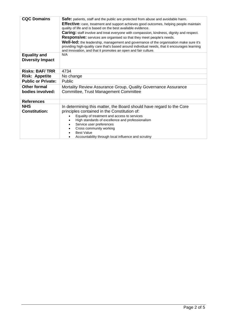| <b>CQC Domains</b>                             | <b>Safe:</b> patients, staff and the public are protected from abuse and avoidable harm.<br>Effective: care, treatment and support achieves good outcomes, helping people maintain<br>quality of life and is based on the best available evidence.<br><b>Caring:</b> staff involve and treat everyone with compassion, kindness, dignity and respect.<br><b>Responsive:</b> services are organised so that they meet people's needs.<br>Well-led: the leadership, management and governance of the organisation make sure it's<br>providing high-quality care that's based around individual needs, that it encourages learning<br>and innovation, and that it promotes an open and fair culture. |  |  |  |  |
|------------------------------------------------|---------------------------------------------------------------------------------------------------------------------------------------------------------------------------------------------------------------------------------------------------------------------------------------------------------------------------------------------------------------------------------------------------------------------------------------------------------------------------------------------------------------------------------------------------------------------------------------------------------------------------------------------------------------------------------------------------|--|--|--|--|
| <b>Equality and</b><br><b>Diversity Impact</b> | N/A                                                                                                                                                                                                                                                                                                                                                                                                                                                                                                                                                                                                                                                                                               |  |  |  |  |
| <b>Risks: BAF/TRR</b>                          | 4734                                                                                                                                                                                                                                                                                                                                                                                                                                                                                                                                                                                                                                                                                              |  |  |  |  |
| <b>Risk: Appetite</b>                          | No change                                                                                                                                                                                                                                                                                                                                                                                                                                                                                                                                                                                                                                                                                         |  |  |  |  |
| <b>Public or Private:</b>                      | Public                                                                                                                                                                                                                                                                                                                                                                                                                                                                                                                                                                                                                                                                                            |  |  |  |  |
| <b>Other formal</b><br>bodies involved:        | Mortality Review Assurance Group, Quality Governance Assurance<br><b>Committee, Trust Management Committee</b>                                                                                                                                                                                                                                                                                                                                                                                                                                                                                                                                                                                    |  |  |  |  |
| <b>References</b>                              |                                                                                                                                                                                                                                                                                                                                                                                                                                                                                                                                                                                                                                                                                                   |  |  |  |  |
| <b>NHS</b><br><b>Constitution:</b>             | In determining this matter, the Board should have regard to the Core<br>principles contained in the Constitution of:<br>Equality of treatment and access to services<br>High standards of excellence and professionalism<br>Service user preferences<br>Cross community working<br><b>Best Value</b><br>Accountability through local influence and scrutiny                                                                                                                                                                                                                                                                                                                                       |  |  |  |  |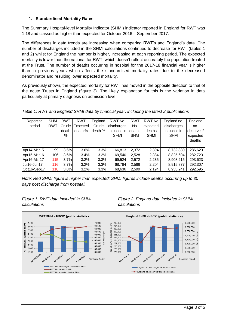#### **1. Standardised Mortality Rates**

The Summary Hospital-level Mortality Indicator (SHMI) indicator reported in England for RWT was 1.18 and classed as higher than expected for October 2016 – September 2017.

The differences in data trends are increasing when comparing RWT's and England's data. The number of discharges included in the SHMI calculations continued to decrease for RWT (tables 1 and 2) whilst for England the number is higher, increasing at each reporting period. The expected mortality is lower than the national for RWT, which doesn't reflect accurately the population treated at the Trust. The number of deaths occurring in hospital for the 2017-18 financial year is higher than in previous years which affects the standardised mortality rates due to the decreased denominator and resulting lower expected mortality.

As previously shown, the expected mortality for RWT has moved in the opposite direction to that of the acute Trusts in England (figure 3). The likely explanation for this is the variation in data particularly at primary diagnosis on admission level.

*Table 1: RWT and England SHMI data by financial year, including the latest 2 publications*

| Reporting   | <b>SHMI</b> | <b>RWT</b> | RWT      | England | RWT No.     | <b>RWT</b>  | RWT No      | England no. | England   |
|-------------|-------------|------------|----------|---------|-------------|-------------|-------------|-------------|-----------|
| period      | <b>RWT</b>  | Crude      | Expected | Crude   | discharges  | No.         | expected    | discharges  | no.       |
|             |             | death      | death %  | death % | included in | deaths      | deaths      | included in | observed/ |
|             |             | %          |          |         | <b>SHM</b>  | <b>SHMI</b> | <b>SHMI</b> | <b>SHMI</b> | expected  |
|             |             |            |          |         |             |             |             |             | deaths    |
|             |             |            |          |         |             |             |             |             |           |
| Apr14-Mar15 | 99          | 3.6%       | 3.6%     | 3.3%    | 66,813      | 2,372       | 2,394       | 8,732,830   | 286,629   |
| Apr15-Mar16 | 106         | 3.6%       | 3.4%     | 3.2%    | 69,540      | 2,528       | 2,384       | 8,825,694   | 282,723   |
| Apr16-Mar17 | 115         | 3.7%       | 3.2%     | 3.3%    | 69.524      | 2,572       | 2,235       | 8,908,215   | 293,623   |
| Jul16-Jun17 | 116         | 3.7%       | 3.2%     | 3.3%    | 68,784      | 2,566       | 2,204       | 8,915,877   | 292,307   |
| Oct16-Sep17 | 118         | 3.8%       | 3.2%     | 3.3%    | 68,636      | 2,599       | 2,194       | 8,933,241   | 292,595   |

*Note: Red SHMI figure is higher than expected; SHMI figures include deaths occurring up to 30 days post discharge from hospital.*



## *Figure 1: RWT data included in SHMI Figure 2: England data included in SHMI*

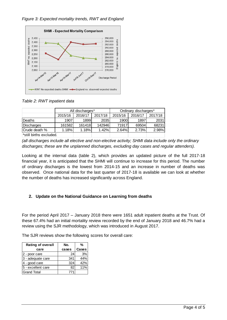### *Figure 3: Expected mortality trends, RWT and England*



*Table 2: RWT inpatient data*

|                         | All discharges* |         |         | Ordinary discharges* |         |         |  |
|-------------------------|-----------------|---------|---------|----------------------|---------|---------|--|
|                         | 2015/16         | 2016/17 | 2017/18 | 2015/16              | 2016/17 | 2017/18 |  |
| Deaths                  | 1907            | 1899    | 2035    | 1900                 | 1897    | 2031    |  |
| Discharges              | 161582          | 161418  | 142946  | 71917                | 69504   | 68231   |  |
| Crude death %           | 1.18%           | 1.18%   | 1.42%   | 2.64%                | 2.73%   | 2.98%   |  |
| *still births excluded. |                 |         |         |                      |         |         |  |

*(all discharges include all elective and non-elective activity; SHMI data include only the ordinary discharges; these are the unplanned discharges, excluding day cases and regular attenders).*

Looking at the internal data (table 2), which provides an updated picture of the full 2017-18 financial year, it is anticipated that the SHMI will continue to increase for this period. The number of ordinary discharges is the lowest from 2014-15 and an increase in number of deaths was observed. Once national data for the last quarter of 2017-18 is available we can look at whether the number of deaths has increased significantly across England.

#### **2. Update on the National Guidance on Learning from deaths**

For the period April 2017 – January 2018 there were 1651 adult inpatient deaths at the Trust. Of these 67.4% had an initial mortality review recorded by the end of January 2018 and 46.7% had a review using the SJR methodology, which was introduced in August 2017.

The SJR reviews show the following scores for overall care:

| <b>Rating of overall</b> | No.   | %     |  |
|--------------------------|-------|-------|--|
| care                     | cases | Cases |  |
| 2 - poor care            | 24    | 3%    |  |
| 3 - adequate care        | 341   | 44%   |  |
| 4 - good care            | 324   | 42%   |  |
| 5 - excellent care       | 82    | 11%   |  |
| <b>IGrand Total</b>      | 771   |       |  |